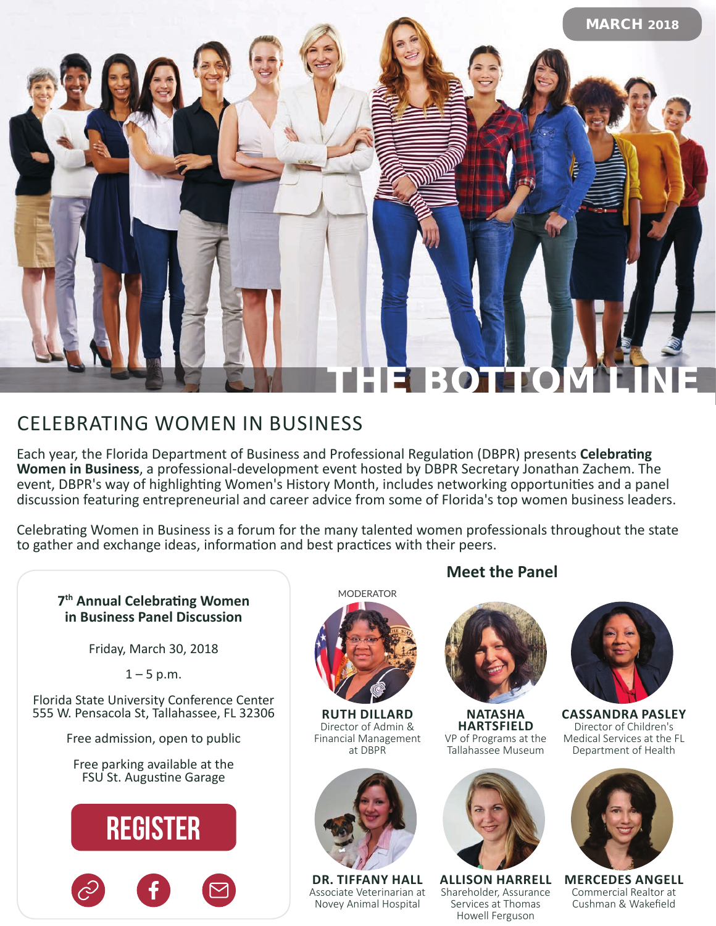

## CELEBRATING WOMEN IN BUSINESS

Each year, the Florida Department of Business and Professional Regulation (DBPR) presents **Celebrating Women in Business**, a professional-development event hosted by DBPR Secretary Jonathan Zachem. The event, DBPR's way of highlighting Women's History Month, includes networking opportunities and a panel discussion featuring entrepreneurial and career advice from some of Florida's top women business leaders.

Celebrating Women in Business is a forum for the many talented women professionals throughout the state to gather and exchange ideas, information and best practices with their peers.

### **7th Annual Celebrating Women in Business Panel Discussion**

Friday, March 30, 2018

 $1 - 5$  p.m.

Florida State University Conference Center 555 W. Pensacola St, Tallahassee, FL 32306

Free admission, open to public

Free parking available at the FSU St. Augustine Garage



MODERATOR



**RUTH DILLARD** Director of Admin & Financial Management at DBPR



**DR. TIFFANY HALL** Associate Veterinarian at Novey Animal Hospital

### **Meet the Panel**



**NATASHA HARTSFIELD** VP of Programs at the Tallahassee Museum



**ALLISON HARRELL** Shareholder, Assurance Services at Thomas Howell Ferguson



**CASSANDRA PASLEY** Director of Children's Medical Services at the FL Department of Health



**MERCEDES ANGELL** Commercial Realtor at Cushman & Wakefield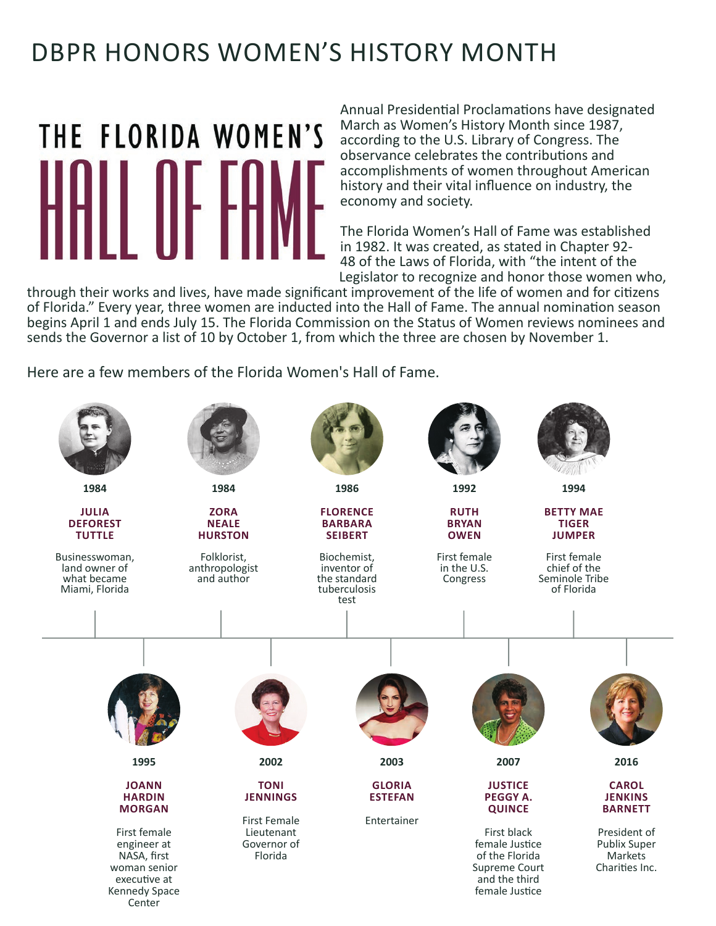# DBPR HONORS WOMEN'S HISTORY MONTH

# **[THE FLORIDA WOMEN](https://flwomenshalloffame.org/)'S**

Annual Presidential Proclamations have designated March as Women's History Month since 1987, according to the U.S. Library of Congress. The observance celebrates the contributions and accomplishments of women throughout American history and their vital influence on industry, the economy and society.

The Florida Women's Hall of Fame was established<br>in 1982. It was created, as stated in Chapter 92-48 of the Laws of Florida, with "the intent of the Legislator to recognize and honor those women who,

through their works and lives, have made significant improvement of the life of women and for citizens of Florida." Every year, three women are inducted into the Hall of Fame. The annual nomination season begins April 1 and ends July 15. The Florida Commission on the Status of Women reviews nominees and sends the Governor a list of 10 by October 1, from which the three are chosen by November 1.